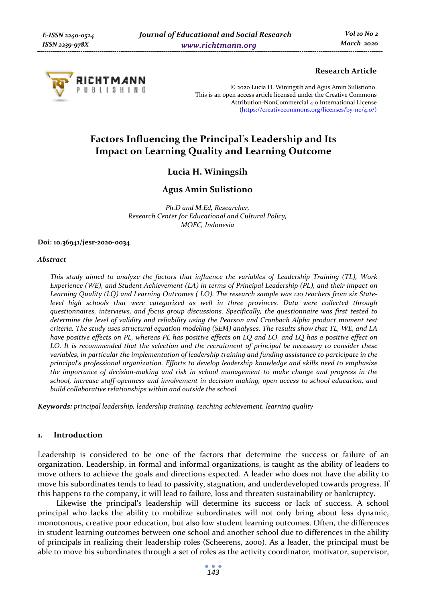

# **Research Article**

© 2020 Lucia H. Winingsih and Agus Amin Sulistiono. This is an open access article licensed under the Creative Commons Attribution-NonCommercial 4.0 International License (https://creativecommons.org/licenses/by-nc/4.0/)

# **Factors Influencing the Principal's Leadership and Its Impact on Learning Quality and Learning Outcome**

**Lucia H. Winingsih** 

# **Agus Amin Sulistiono**

*Ph.D and M.Ed, Researcher, Research Center for Educational and Cultural Policy, MOEC, Indonesia* 

#### **Doi: 10.36941/jesr-2020-0034**

#### *Abstract*

*This study aimed to analyze the factors that influence the variables of Leadership Training (TL), Work Experience (WE), and Student Achievement (LA) in terms of Principal Leadership (PL), and their impact on Learning Quality (LQ) and Learning Outcomes ( LO). The research sample was 120 teachers from six Statelevel high schools that were categorized as well in three provinces. Data were collected through questionnaires, interviews, and focus group discussions. Specifically, the questionnaire was first tested to determine the level of validity and reliability using the Pearson and Cronbach Alpha product moment test criteria. The study uses structural equation modeling (SEM) analyses. The results show that TL, WE, and LA have positive effects on PL, whereas PL has positive effects on LQ and LO, and LQ has a positive effect on LO. It is recommended that the selection and the recruitment of principal be necessary to consider these variables, in particular the implementation of leadership training and funding assistance to participate in the principal's professional organization. Efforts to develop leadership knowledge and skills need to emphasize the importance of decision-making and risk in school management to make change and progress in the school, increase staff openness and involvement in decision making, open access to school education, and build collaborative relationships within and outside the school.* 

*Keywords: principal leadership, leadership training, teaching achievement, learning quality* 

### **1. Introduction**

Leadership is considered to be one of the factors that determine the success or failure of an organization. Leadership, in formal and informal organizations, is taught as the ability of leaders to move others to achieve the goals and directions expected. A leader who does not have the ability to move his subordinates tends to lead to passivity, stagnation, and underdeveloped towards progress. If this happens to the company, it will lead to failure, loss and threaten sustainability or bankruptcy.

Likewise the principal's leadership will determine its success or lack of success. A school principal who lacks the ability to mobilize subordinates will not only bring about less dynamic, monotonous, creative poor education, but also low student learning outcomes. Often, the differences in student learning outcomes between one school and another school due to differences in the ability of principals in realizing their leadership roles (Scheerens, 2000). As a leader, the principal must be able to move his subordinates through a set of roles as the activity coordinator, motivator, supervisor,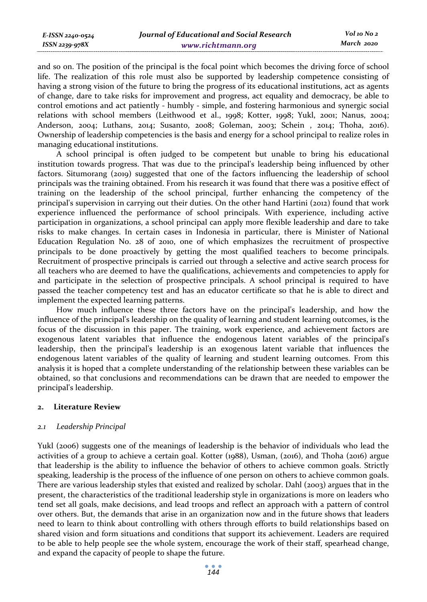and so on. The position of the principal is the focal point which becomes the driving force of school life. The realization of this role must also be supported by leadership competence consisting of having a strong vision of the future to bring the progress of its educational institutions, act as agents of change, dare to take risks for improvement and progress, act equality and democracy, be able to control emotions and act patiently - humbly - simple, and fostering harmonious and synergic social relations with school members (Leithwood et al., 1998; Kotter, 1998; Yukl, 2001; Nanus, 2004; Anderson, 2004; Luthans, 2014; Susanto, 2008; Goleman, 2003; Schein , 2014; Thoha, 2016). Ownership of leadership competencies is the basis and energy for a school principal to realize roles in managing educational institutions.

A school principal is often judged to be competent but unable to bring his educational institution towards progress. That was due to the principal's leadership being influenced by other factors. Situmorang (2019) suggested that one of the factors influencing the leadership of school principals was the training obtained. From his research it was found that there was a positive effect of training on the leadership of the school principal, further enhancing the competency of the principal's supervision in carrying out their duties. On the other hand Hartini (2012) found that work experience influenced the performance of school principals. With experience, including active participation in organizations, a school principal can apply more flexible leadership and dare to take risks to make changes. In certain cases in Indonesia in particular, there is Minister of National Education Regulation No. 28 of 2010, one of which emphasizes the recruitment of prospective principals to be done proactively by getting the most qualified teachers to become principals. Recruitment of prospective principals is carried out through a selective and active search process for all teachers who are deemed to have the qualifications, achievements and competencies to apply for and participate in the selection of prospective principals. A school principal is required to have passed the teacher competency test and has an educator certificate so that he is able to direct and implement the expected learning patterns.

How much influence these three factors have on the principal's leadership, and how the influence of the principal's leadership on the quality of learning and student learning outcomes, is the focus of the discussion in this paper. The training, work experience, and achievement factors are exogenous latent variables that influence the endogenous latent variables of the principal's leadership, then the principal's leadership is an exogenous latent variable that influences the endogenous latent variables of the quality of learning and student learning outcomes. From this analysis it is hoped that a complete understanding of the relationship between these variables can be obtained, so that conclusions and recommendations can be drawn that are needed to empower the principal's leadership.

### **2. Literature Review**

### *2.1 Leadership Principal*

Yukl (2006) suggests one of the meanings of leadership is the behavior of individuals who lead the activities of a group to achieve a certain goal. Kotter (1988), Usman, (2016), and Thoha (2016) argue that leadership is the ability to influence the behavior of others to achieve common goals. Strictly speaking, leadership is the process of the influence of one person on others to achieve common goals. There are various leadership styles that existed and realized by scholar. Dahl (2003) argues that in the present, the characteristics of the traditional leadership style in organizations is more on leaders who tend set all goals, make decisions, and lead troops and reflect an approach with a pattern of control over others. But, the demands that arise in an organization now and in the future shows that leaders need to learn to think about controlling with others through efforts to build relationships based on shared vision and form situations and conditions that support its achievement. Leaders are required to be able to help people see the whole system, encourage the work of their staff, spearhead change, and expand the capacity of people to shape the future.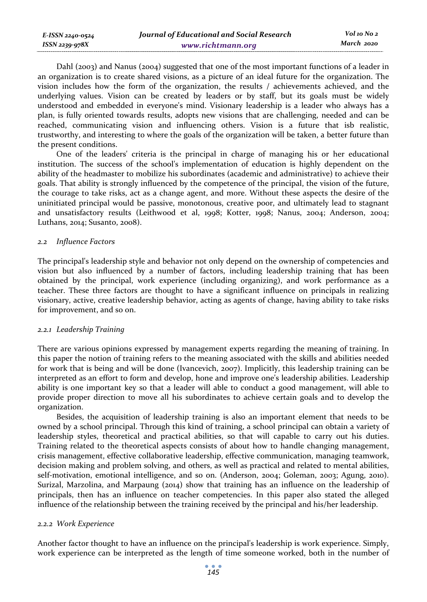| E-ISSN 2240-0524 | Journal of Educational and Social Research | Vol 10 No 2 |
|------------------|--------------------------------------------|-------------|
| ISSN 2239-978X   | www.richtmann.org                          | March 2020  |

Dahl (2003) and Nanus (2004) suggested that one of the most important functions of a leader in an organization is to create shared visions, as a picture of an ideal future for the organization. The vision includes how the form of the organization, the results / achievements achieved, and the underlying values. Vision can be created by leaders or by staff, but its goals must be widely understood and embedded in everyone's mind. Visionary leadership is a leader who always has a plan, is fully oriented towards results, adopts new visions that are challenging, needed and can be reached, communicating vision and influencing others. Vision is a future that isb realistic, trustworthy, and interesting to where the goals of the organization will be taken, a better future than the present conditions.

One of the leaders' criteria is the principal in charge of managing his or her educational institution. The success of the school's implementation of education is highly dependent on the ability of the headmaster to mobilize his subordinates (academic and administrative) to achieve their goals. That ability is strongly influenced by the competence of the principal, the vision of the future, the courage to take risks, act as a change agent, and more. Without these aspects the desire of the uninitiated principal would be passive, monotonous, creative poor, and ultimately lead to stagnant and unsatisfactory results (Leithwood et al, 1998; Kotter, 1998; Nanus, 2004; Anderson, 2004; Luthans, 2014; Susanto, 2008).

#### *2.2 Influence Factors*

The principal's leadership style and behavior not only depend on the ownership of competencies and vision but also influenced by a number of factors, including leadership training that has been obtained by the principal, work experience (including organizing), and work performance as a teacher. These three factors are thought to have a significant influence on principals in realizing visionary, active, creative leadership behavior, acting as agents of change, having ability to take risks for improvement, and so on.

### *2.2.1 Leadership Training*

There are various opinions expressed by management experts regarding the meaning of training. In this paper the notion of training refers to the meaning associated with the skills and abilities needed for work that is being and will be done (Ivancevich, 2007). Implicitly, this leadership training can be interpreted as an effort to form and develop, hone and improve one's leadership abilities. Leadership ability is one important key so that a leader will able to conduct a good management, will able to provide proper direction to move all his subordinates to achieve certain goals and to develop the organization.

Besides, the acquisition of leadership training is also an important element that needs to be owned by a school principal. Through this kind of training, a school principal can obtain a variety of leadership styles, theoretical and practical abilities, so that will capable to carry out his duties. Training related to the theoretical aspects consists of about how to handle changing management, crisis management, effective collaborative leadership, effective communication, managing teamwork, decision making and problem solving, and others, as well as practical and related to mental abilities, self-motivation, emotional intelligence, and so on. (Anderson, 2004; Goleman, 2003; Agung, 2010). Surizal, Marzolina, and Marpaung (2014) show that training has an influence on the leadership of principals, then has an influence on teacher competencies. In this paper also stated the alleged influence of the relationship between the training received by the principal and his/her leadership.

### *2.2.2 Work Experience*

Another factor thought to have an influence on the principal's leadership is work experience. Simply, work experience can be interpreted as the length of time someone worked, both in the number of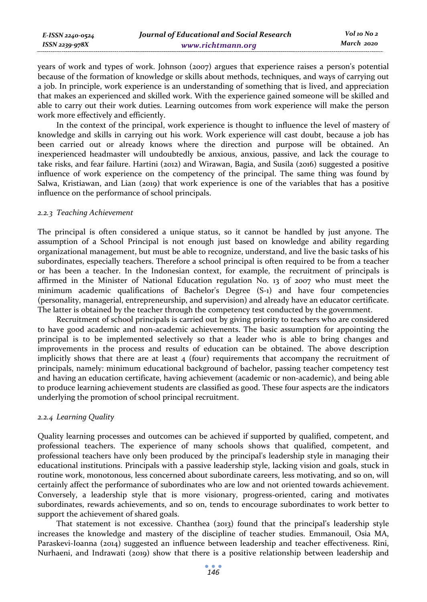| E-ISSN 2240-0524 | Journal of Educational and Social Research | Vol 10 No 2 |
|------------------|--------------------------------------------|-------------|
| ISSN 2239-978X   | www.richtmann.org                          | March 2020  |

years of work and types of work. Johnson (2007) argues that experience raises a person's potential because of the formation of knowledge or skills about methods, techniques, and ways of carrying out a job. In principle, work experience is an understanding of something that is lived, and appreciation that makes an experienced and skilled work. With the experience gained someone will be skilled and able to carry out their work duties. Learning outcomes from work experience will make the person work more effectively and efficiently.

In the context of the principal, work experience is thought to influence the level of mastery of knowledge and skills in carrying out his work. Work experience will cast doubt, because a job has been carried out or already knows where the direction and purpose will be obtained. An inexperienced headmaster will undoubtedly be anxious, anxious, passive, and lack the courage to take risks, and fear failure. Hartini (2012) and Wirawan, Bagia, and Susila (2016) suggested a positive influence of work experience on the competency of the principal. The same thing was found by Salwa, Kristiawan, and Lian (2019) that work experience is one of the variables that has a positive influence on the performance of school principals.

#### *2.2.3 Teaching Achievement*

The principal is often considered a unique status, so it cannot be handled by just anyone. The assumption of a School Principal is not enough just based on knowledge and ability regarding organizational management, but must be able to recognize, understand, and live the basic tasks of his subordinates, especially teachers. Therefore a school principal is often required to be from a teacher or has been a teacher. In the Indonesian context, for example, the recruitment of principals is affirmed in the Minister of National Education regulation No. 13 of 2007 who must meet the minimum academic qualifications of Bachelor's Degree (S-1) and have four competencies (personality, managerial, entrepreneurship, and supervision) and already have an educator certificate. The latter is obtained by the teacher through the competency test conducted by the government.

Recruitment of school principals is carried out by giving priority to teachers who are considered to have good academic and non-academic achievements. The basic assumption for appointing the principal is to be implemented selectively so that a leader who is able to bring changes and improvements in the process and results of education can be obtained. The above description implicitly shows that there are at least  $4$  (four) requirements that accompany the recruitment of principals, namely: minimum educational background of bachelor, passing teacher competency test and having an education certificate, having achievement (academic or non-academic), and being able to produce learning achievement students are classified as good. These four aspects are the indicators underlying the promotion of school principal recruitment.

### *2.2.4 Learning Quality*

Quality learning processes and outcomes can be achieved if supported by qualified, competent, and professional teachers. The experience of many schools shows that qualified, competent, and professional teachers have only been produced by the principal's leadership style in managing their educational institutions. Principals with a passive leadership style, lacking vision and goals, stuck in routine work, monotonous, less concerned about subordinate careers, less motivating, and so on, will certainly affect the performance of subordinates who are low and not oriented towards achievement. Conversely, a leadership style that is more visionary, progress-oriented, caring and motivates subordinates, rewards achievements, and so on, tends to encourage subordinates to work better to support the achievement of shared goals.

That statement is not excessive. Chanthea (2013) found that the principal's leadership style increases the knowledge and mastery of the discipline of teacher studies. Emmanouil, Osia MA, Paraskevi-Ioanna (2014) suggested an influence between leadership and teacher effectiveness. Rini, Nurhaeni, and Indrawati (2019) show that there is a positive relationship between leadership and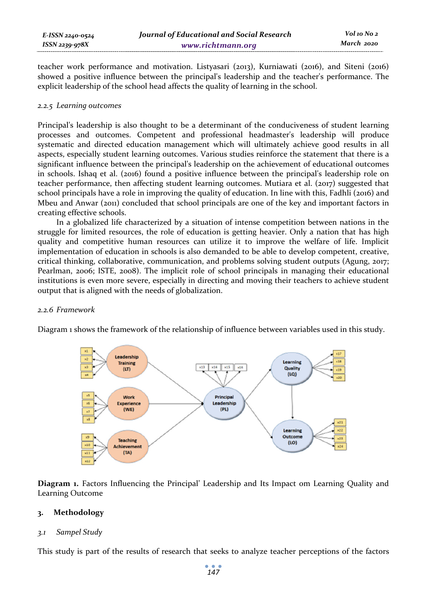teacher work performance and motivation. Listyasari (2013), Kurniawati (2016), and Siteni (2016) showed a positive influence between the principal's leadership and the teacher's performance. The explicit leadership of the school head affects the quality of learning in the school.

# *2.2.5 Learning outcomes*

Principal's leadership is also thought to be a determinant of the conduciveness of student learning processes and outcomes. Competent and professional headmaster's leadership will produce systematic and directed education management which will ultimately achieve good results in all aspects, especially student learning outcomes. Various studies reinforce the statement that there is a significant influence between the principal's leadership on the achievement of educational outcomes in schools. Ishaq et al. (2016) found a positive influence between the principal's leadership role on teacher performance, then affecting student learning outcomes. Mutiara et al. (2017) suggested that school principals have a role in improving the quality of education. In line with this, Fadhli (2016) and Mbeu and Anwar (2011) concluded that school principals are one of the key and important factors in creating effective schools.

In a globalized life characterized by a situation of intense competition between nations in the struggle for limited resources, the role of education is getting heavier. Only a nation that has high quality and competitive human resources can utilize it to improve the welfare of life. Implicit implementation of education in schools is also demanded to be able to develop competent, creative, critical thinking, collaborative, communication, and problems solving student outputs (Agung, 2017; Pearlman, 2006; ISTE, 2008). The implicit role of school principals in managing their educational institutions is even more severe, especially in directing and moving their teachers to achieve student output that is aligned with the needs of globalization.

# *2.2.6 Framework*

Diagram 1 shows the framework of the relationship of influence between variables used in this study.



**Diagram 1.** Factors Influencing the Principal' Leadership and Its Impact om Learning Quality and Learning Outcome

# **3. Methodology**

# *3.1 Sampel Study*

This study is part of the results of research that seeks to analyze teacher perceptions of the factors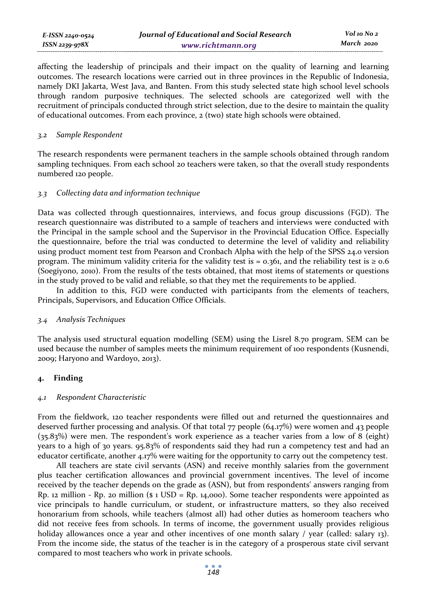affecting the leadership of principals and their impact on the quality of learning and learning outcomes. The research locations were carried out in three provinces in the Republic of Indonesia, namely DKI Jakarta, West Java, and Banten. From this study selected state high school level schools through random purposive techniques. The selected schools are categorized well with the recruitment of principals conducted through strict selection, due to the desire to maintain the quality of educational outcomes. From each province, 2 (two) state high schools were obtained.

#### *3.2 Sample Respondent*

The research respondents were permanent teachers in the sample schools obtained through random sampling techniques. From each school 20 teachers were taken, so that the overall study respondents numbered 120 people.

# *3.3 Collecting data and information technique*

Data was collected through questionnaires, interviews, and focus group discussions (FGD). The research questionnaire was distributed to a sample of teachers and interviews were conducted with the Principal in the sample school and the Supervisor in the Provincial Education Office. Especially the questionnaire, before the trial was conducted to determine the level of validity and reliability using product moment test from Pearson and Cronbach Alpha with the help of the SPSS 24.0 version program. The minimum validity criteria for the validity test is =  $0.361$ , and the reliability test is  $\ge 0.6$ (Soegiyono, 2010). From the results of the tests obtained, that most items of statements or questions in the study proved to be valid and reliable, so that they met the requirements to be applied.

In addition to this, FGD were conducted with participants from the elements of teachers, Principals, Supervisors, and Education Office Officials.

### *3.4 Analysis Techniques*

The analysis used structural equation modelling (SEM) using the Lisrel 8.70 program. SEM can be used because the number of samples meets the minimum requirement of 100 respondents (Kusnendi, 2009; Haryono and Wardoyo, 2013).

### **4. Finding**

#### *4.1 Respondent Characteristic*

From the fieldwork, 120 teacher respondents were filled out and returned the questionnaires and deserved further processing and analysis. Of that total 77 people (64.17%) were women and 43 people (35.83%) were men. The respondent's work experience as a teacher varies from a low of 8 (eight) years to a high of 30 years. 95.83% of respondents said they had run a competency test and had an educator certificate, another 4.17% were waiting for the opportunity to carry out the competency test.

All teachers are state civil servants (ASN) and receive monthly salaries from the government plus teacher certification allowances and provincial government incentives. The level of income received by the teacher depends on the grade as (ASN), but from respondents' answers ranging from Rp. 12 million - Rp. 20 million ( $\text{\$}1 \text{ USD} = \text{Rp}$ . 14,000). Some teacher respondents were appointed as vice principals to handle curriculum, or student, or infrastructure matters, so they also received honorarium from schools, while teachers (almost all) had other duties as homeroom teachers who did not receive fees from schools. In terms of income, the government usually provides religious holiday allowances once a year and other incentives of one month salary / year (called: salary 13). From the income side, the status of the teacher is in the category of a prosperous state civil servant compared to most teachers who work in private schools.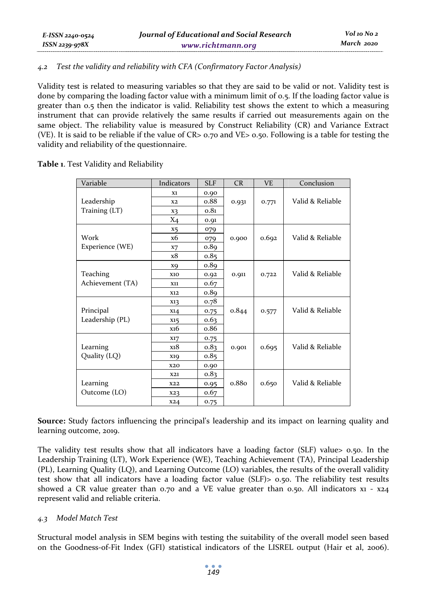# *4.2 Test the validity and reliability with CFA (Confirmatory Factor Analysis)*

Validity test is related to measuring variables so that they are said to be valid or not. Validity test is done by comparing the loading factor value with a minimum limit of 0.5. If the loading factor value is greater than 0.5 then the indicator is valid. Reliability test shows the extent to which a measuring instrument that can provide relatively the same results if carried out measurements again on the same object. The reliability value is measured by Construct Reliability (CR) and Variance Extract (VE). It is said to be reliable if the value of CR> 0.70 and VE> 0.50. Following is a table for testing the validity and reliability of the questionnaire.

**Table 1**. Test Validity and Reliability

| Variable         | Indicators       | <b>SLF</b> | CR    | V <sub>F</sub> | Conclusion       |
|------------------|------------------|------------|-------|----------------|------------------|
|                  | X1               | 0.90       |       |                |                  |
| Leadership       | X <sub>2</sub>   | o.88       | 0.931 | 0.771          | Valid & Reliable |
| Training (LT)    | X3               | 0.81       |       |                |                  |
|                  | $X_4$            | 0.91       |       |                |                  |
|                  | X5               | 079        |       |                |                  |
| Work             | <b>x6</b>        | 079        | 0.900 | 0.692          | Valid & Reliable |
| Experience (WE)  | X7               | 0.89       |       |                |                  |
|                  | x8               | 0.85       |       |                |                  |
|                  | X <sub>9</sub>   | 0.89       |       |                |                  |
| Teaching         | <b>X10</b>       | 0.92       | 0.911 | 0.722          | Valid & Reliable |
| Achievement (TA) | X11              | 0.67       |       |                |                  |
|                  | X12              | 0.89       |       |                |                  |
|                  | X13              | 0.78       |       |                |                  |
| Principal        | X14              | 0.75       | 0.844 | 0.577          | Valid & Reliable |
| Leadership (PL)  | X15              | 0.63       |       |                |                  |
|                  | x <sub>16</sub>  | 0.86       |       |                |                  |
|                  | X17              | 0.75       |       |                |                  |
| Learning         | x <sub>1</sub> 8 | 0.83       | 0.901 | 0.695          | Valid & Reliable |
| Quality (LQ)     | <b>X19</b>       | 0.85       |       |                |                  |
|                  | <b>X20</b>       | 0.90       |       |                |                  |
|                  | X21              | 0.83       |       |                |                  |
| Learning         | X22              | 0.95       | 0.880 | 0.650          | Valid & Reliable |
| Outcome (LO)     | X23              | 0.67       |       |                |                  |
|                  | X24              | 0.75       |       |                |                  |

**Source:** Study factors influencing the principal's leadership and its impact on learning quality and learning outcome, 2019.

The validity test results show that all indicators have a loading factor (SLF) value> 0.50. In the Leadership Training (LT), Work Experience (WE), Teaching Achievement (TA), Principal Leadership (PL), Learning Quality (LQ), and Learning Outcome (LO) variables, the results of the overall validity test show that all indicators have a loading factor value (SLF)> 0.50. The reliability test results showed a CR value greater than 0.70 and a VE value greater than 0.50. All indicators  $x_1 - x_2$ represent valid and reliable criteria.

# *4.3 Model Match Test*

Structural model analysis in SEM begins with testing the suitability of the overall model seen based on the Goodness-of-Fit Index (GFI) statistical indicators of the LISREL output (Hair et al, 2006).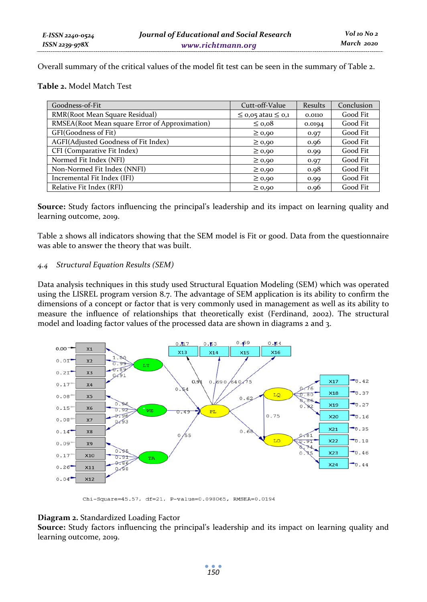Overall summary of the critical values of the model fit test can be seen in the summary of Table 2.

**Table 2.** Model Match Test

| Goodness-of-Fit                                | Cutt-off-Value              | Results | Conclusion |
|------------------------------------------------|-----------------------------|---------|------------|
| RMR(Root Mean Square Residual)                 | $\leq$ 0,05 atau $\leq$ 0,1 | 0.0110  | Good Fit   |
| RMSEA(Root Mean square Error of Approximation) | $\leq 0.08$                 | 0.0194  | Good Fit   |
| GFI(Goodness of Fit)                           | $\geq 0.90$                 | 0.97    | Good Fit   |
| AGFI(Adjusted Goodness of Fit Index)           | $\geq 0.90$                 | 0.96    | Good Fit   |
| CFI (Comparative Fit Index)                    | $\geq 0.90$                 | 0.99    | Good Fit   |
| Normed Fit Index (NFI)                         | $\geq 0.90$                 | 0.97    | Good Fit   |
| Non-Normed Fit Index (NNFI)                    | $\geq 0.90$                 | 0.98    | Good Fit   |
| Incremental Fit Index (IFI)                    | $\geq 0.90$                 | 0.99    | Good Fit   |
| Relative Fit Index (RFI)                       | $\geq 0.90$                 | 0.96    | Good Fit   |

**Source:** Study factors influencing the principal's leadership and its impact on learning quality and learning outcome, 2019.

Table 2 shows all indicators showing that the SEM model is Fit or good. Data from the questionnaire was able to answer the theory that was built.

# *4.4 Structural Equation Results (SEM)*

Data analysis techniques in this study used Structural Equation Modeling (SEM) which was operated using the LISREL program version 8.7. The advantage of SEM application is its ability to confirm the dimensions of a concept or factor that is very commonly used in management as well as its ability to measure the influence of relationships that theoretically exist (Ferdinand, 2002). The structural model and loading factor values of the processed data are shown in diagrams 2 and 3.



Chi-Square=45.57, df=21, P-value=0.098065, RMSEA=0.0194

# **Diagram 2.** Standardized Loading Factor

**Source:** Study factors influencing the principal's leadership and its impact on learning quality and learning outcome, 2019.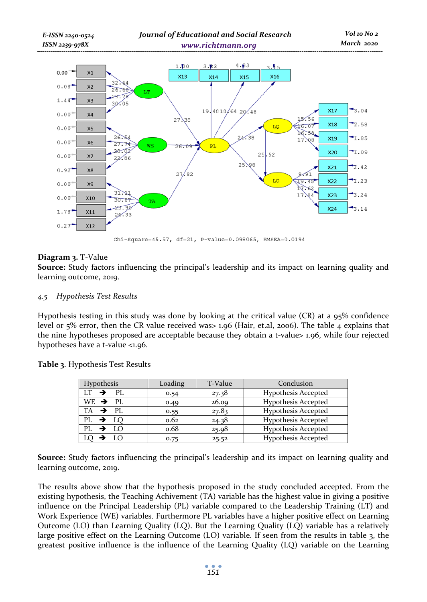

# **Diagram 3.** T-Value

**Source:** Study factors influencing the principal's leadership and its impact on learning quality and learning outcome, 2019.

### *4.5 Hypothesis Test Results*

Hypothesis testing in this study was done by looking at the critical value (CR) at a 95% confidence level or 5% error, then the CR value received was> 1.96 (Hair, et.al, 2006). The table 4 explains that the nine hypotheses proposed are acceptable because they obtain a t-value> 1.96, while four rejected hypotheses have a t-value <1.96.

| Table 3. Hypothesis Test Results |  |
|----------------------------------|--|
|----------------------------------|--|

| Hypothesis            | Loading | T-Value | Conclusion                 |
|-----------------------|---------|---------|----------------------------|
| $LT \rightarrow PL$   | 0.54    | 27.38   | <b>Hypothesis Accepted</b> |
| $WE$ $\rightarrow$ PL | 0.49    | 26.09   | <b>Hypothesis Accepted</b> |
| $TA$ $\rightarrow$ PL | 0.55    | 27.83   | <b>Hypothesis Accepted</b> |
| $PL \rightarrow LO$   | 0.62    | 24.38   | <b>Hypothesis Accepted</b> |
| PL $\rightarrow$ LO   | 0.68    | 25.98   | <b>Hypothesis Accepted</b> |
| - LO                  | 0.75    | 25.52   | <b>Hypothesis Accepted</b> |

**Source:** Study factors influencing the principal's leadership and its impact on learning quality and learning outcome, 2019.

The results above show that the hypothesis proposed in the study concluded accepted. From the existing hypothesis, the Teaching Achivement (TA) variable has the highest value in giving a positive influence on the Principal Leadership (PL) variable compared to the Leadership Training (LT) and Work Experience (WE) variables. Furthermore PL variables have a higher positive effect on Learning Outcome (LO) than Learning Quality (LQ). But the Learning Quality (LQ) variable has a relatively large positive effect on the Learning Outcome (LO) variable. If seen from the results in table 3, the greatest positive influence is the influence of the Learning Quality (LQ) variable on the Learning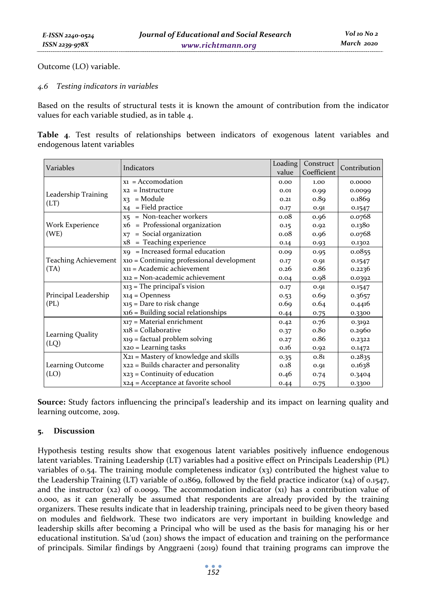Outcome (LO) variable.

# *4.6 Testing indicators in variables*

Based on the results of structural tests it is known the amount of contribution from the indicator values for each variable studied, as in table 4.

|  |                             | Table 4. Test results of relationships between indicators of exogenous latent variables and |  |  |  |  |
|--|-----------------------------|---------------------------------------------------------------------------------------------|--|--|--|--|
|  | endogenous latent variables |                                                                                             |  |  |  |  |

| Variables            | Indicators                                     | Loading | Construct   | Contribution |  |
|----------------------|------------------------------------------------|---------|-------------|--------------|--|
|                      |                                                | value   | Coefficient |              |  |
|                      | $x_1$ = Accomodation                           | 0.00    | 1.00        | 0.0000       |  |
| Leadership Training  | $xz =$ Instructure                             | 0.01    | 0.99        | 0.0099       |  |
| (LT)                 | = Module<br>X3                                 | 0.21    | 0.89        | 0.1869       |  |
|                      | = Field practice<br>X <sub>4</sub>             | 0.17    | 0.91        | 0.1547       |  |
|                      | = Non-teacher workers<br>X5                    | 0.08    | 0.96        | 0.0768       |  |
| Work Experience      | = Professional organization<br><b>x6</b>       | 0.15    | 0.92        | 0.1380       |  |
| (WE)                 | $=$ Social organization<br>X7                  | 0.08    | 0.96        | 0.0768       |  |
|                      | = Teaching experience<br>x8                    | 0.14    | 0.93        | 0.1302       |  |
|                      | $xq$ = Increased formal education              | 0.09    | 0.95        | 0.0855       |  |
| Teaching Achievement | $x_{10}$ = Continuing professional development |         | 0.91        | 0.1547       |  |
| (TA)                 | $x_{11}$ = Academic achievement                | 0.26    | o.86        | 0.2236       |  |
|                      | $x_{12}$ = Non-academic achievement            | 0.04    | 0.98        | 0.0392       |  |
|                      | $x_{13}$ = The principal's vision              | 0.17    | 0.91        | 0.1547       |  |
| Principal Leadership | $x_{14} =$ Openness                            | 0.53    | 0.69        | 0.3657       |  |
| (PL)                 | $x_{15}$ = Dare to risk change                 | 0.69    | 0.64        | 0.4416       |  |
|                      | $x16 =$ Building social relationships          | 0.44    | 0.75        | 0.3300       |  |
|                      | $x_17$ = Material enrichment                   | 0.42    | 0.76        | 0.3192       |  |
|                      | $x_18 =$ Collaborative                         | 0.37    | 0.80        | 0.2960       |  |
| Learning Quality     | $x_1$ q = factual problem solving              | 0.27    | 0.86        | 0.2322       |  |
| (LQ)                 | $x_{20}$ = Learning tasks                      | 0.16    | 0.92        | 0.1472       |  |
|                      | X21 = Mastery of knowledge and skills          | 0.35    | 0.81        | 0.2835       |  |
| Learning Outcome     | $x_{22}$ = Builds character and personality    | 0.18    | 0.91        | 0.1638       |  |
| (LO)                 | $xz_3$ = Continuity of education               | 0.46    | 0.74        | 0.3404       |  |
|                      | $x_{24}$ = Acceptance at favorite school       | 0.44    | 0.75        | 0.3300       |  |

**Source:** Study factors influencing the principal's leadership and its impact on learning quality and learning outcome, 2019.

# **5. Discussion**

Hypothesis testing results show that exogenous latent variables positively influence endogenous latent variables. Training Leadership (LT) variables had a positive effect on Principals Leadership (PL) variables of 0.54. The training module completeness indicator  $(x<sub>3</sub>)$  contributed the highest value to the Leadership Training (LT) variable of 0.1869, followed by the field practice indicator  $(x_4)$  of 0.1547, and the instructor (x2) of 0.0099. The accommodation indicator  $(x_1)$  has a contribution value of 0.000, as it can generally be assumed that respondents are already provided by the training organizers. These results indicate that in leadership training, principals need to be given theory based on modules and fieldwork. These two indicators are very important in building knowledge and leadership skills after becoming a Principal who will be used as the basis for managing his or her educational institution. Sa'ud (2011) shows the impact of education and training on the performance of principals. Similar findings by Anggraeni (2019) found that training programs can improve the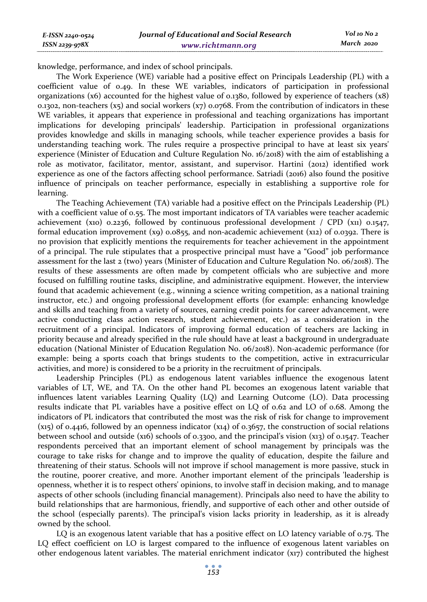knowledge, performance, and index of school principals.

The Work Experience (WE) variable had a positive effect on Principals Leadership (PL) with a coefficient value of 0.49. In these WE variables, indicators of participation in professional organizations (x6) accounted for the highest value of 0.1380, followed by experience of teachers (x8) 0.1302, non-teachers  $(x5)$  and social workers  $(x7)$  0.0768. From the contribution of indicators in these WE variables, it appears that experience in professional and teaching organizations has important implications for developing principals' leadership. Participation in professional organizations provides knowledge and skills in managing schools, while teacher experience provides a basis for understanding teaching work. The rules require a prospective principal to have at least six years' experience (Minister of Education and Culture Regulation No. 16/2018) with the aim of establishing a role as motivator, facilitator, mentor, assistant, and supervisor. Hartini (2012) identified work experience as one of the factors affecting school performance. Satriadi (2016) also found the positive influence of principals on teacher performance, especially in establishing a supportive role for learning.

The Teaching Achievement (TA) variable had a positive effect on the Principals Leadership (PL) with a coefficient value of 0.55. The most important indicators of TA variables were teacher academic achievement (x10) 0.2236, followed by continuous professional development / CPD (x11) 0.1547, formal education improvement  $(x9)$  0.0855, and non-academic achievement  $(x12)$  of 0.0392. There is no provision that explicitly mentions the requirements for teacher achievement in the appointment of a principal. The rule stipulates that a prospective principal must have a "Good" job performance assessment for the last 2 (two) years (Minister of Education and Culture Regulation No. 06/2018). The results of these assessments are often made by competent officials who are subjective and more focused on fulfilling routine tasks, discipline, and administrative equipment. However, the interview found that academic achievement (e.g., winning a science writing competition, as a national training instructor, etc.) and ongoing professional development efforts (for example: enhancing knowledge and skills and teaching from a variety of sources, earning credit points for career advancement, were active conducting class action research, student achievement, etc.) as a consideration in the recruitment of a principal. Indicators of improving formal education of teachers are lacking in priority because and already specified in the rule should have at least a background in undergraduate education (National Minister of Education Regulation No. 06/2018). Non-academic performance (for example: being a sports coach that brings students to the competition, active in extracurricular activities, and more) is considered to be a priority in the recruitment of principals.

Leadership Principles (PL) as endogenous latent variables influence the exogenous latent variables of LT, WE, and TA. On the other hand PL becomes an exogenous latent variable that influences latent variables Learning Quality (LQ) and Learning Outcome (LO). Data processing results indicate that PL variables have a positive effect on LQ of 0.62 and LO of 0.68. Among the indicators of PL indicators that contributed the most was the risk of risk for change to improvement  $(x_{15})$  of 0.4416, followed by an openness indicator  $(x_{14})$  of 0.3657, the construction of social relations between school and outside (x16) schools of 0.3300, and the principal's vision (x13) of 0.1547. Teacher respondents perceived that an important element of school management by principals was the courage to take risks for change and to improve the quality of education, despite the failure and threatening of their status. Schools will not improve if school management is more passive, stuck in the routine, poorer creative, and more. Another important element of the principals 'leadership is openness, whether it is to respect others' opinions, to involve staff in decision making, and to manage aspects of other schools (including financial management). Principals also need to have the ability to build relationships that are harmonious, friendly, and supportive of each other and other outside of the school (especially parents). The principal's vision lacks priority in leadership, as it is already owned by the school.

LQ is an exogenous latent variable that has a positive effect on LO latency variable of 0.75. The LQ effect coefficient on LO is largest compared to the influence of exogenous latent variables on other endogenous latent variables. The material enrichment indicator (x17) contributed the highest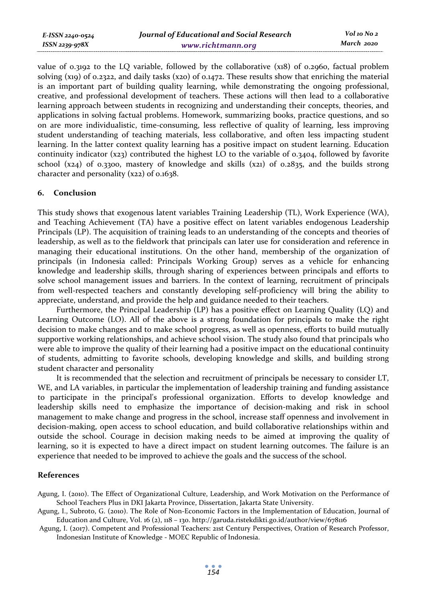*E-ISSN 2240-0524 ISSN 2239-978X*

value of 0.3192 to the LQ variable, followed by the collaborative (x18) of 0.2960, factual problem solving (x19) of 0.2322, and daily tasks (x20) of 0.1472. These results show that enriching the material is an important part of building quality learning, while demonstrating the ongoing professional, creative, and professional development of teachers. These actions will then lead to a collaborative learning approach between students in recognizing and understanding their concepts, theories, and applications in solving factual problems. Homework, summarizing books, practice questions, and so on are more individualistic, time-consuming, less reflective of quality of learning, less improving student understanding of teaching materials, less collaborative, and often less impacting student learning. In the latter context quality learning has a positive impact on student learning. Education continuity indicator (x23) contributed the highest LO to the variable of 0.3404, followed by favorite school (x24) of 0.3300, mastery of knowledge and skills (x21) of 0.2835, and the builds strong character and personality (x22) of 0.1638.

# **6. Conclusion**

This study shows that exogenous latent variables Training Leadership (TL), Work Experience (WA), and Teaching Achievement (TA) have a positive effect on latent variables endogenous Leadership Principals (LP). The acquisition of training leads to an understanding of the concepts and theories of leadership, as well as to the fieldwork that principals can later use for consideration and reference in managing their educational institutions. On the other hand, membership of the organization of principals (in Indonesia called: Principals Working Group) serves as a vehicle for enhancing knowledge and leadership skills, through sharing of experiences between principals and efforts to solve school management issues and barriers. In the context of learning, recruitment of principals from well-respected teachers and constantly developing self-proficiency will bring the ability to appreciate, understand, and provide the help and guidance needed to their teachers.

Furthermore, the Principal Leadership (LP) has a positive effect on Learning Quality (LQ) and Learning Outcome (LO). All of the above is a strong foundation for principals to make the right decision to make changes and to make school progress, as well as openness, efforts to build mutually supportive working relationships, and achieve school vision. The study also found that principals who were able to improve the quality of their learning had a positive impact on the educational continuity of students, admitting to favorite schools, developing knowledge and skills, and building strong student character and personality

It is recommended that the selection and recruitment of principals be necessary to consider LT, WE, and LA variables, in particular the implementation of leadership training and funding assistance to participate in the principal's professional organization. Efforts to develop knowledge and leadership skills need to emphasize the importance of decision-making and risk in school management to make change and progress in the school, increase staff openness and involvement in decision-making, open access to school education, and build collaborative relationships within and outside the school. Courage in decision making needs to be aimed at improving the quality of learning, so it is expected to have a direct impact on student learning outcomes. The failure is an experience that needed to be improved to achieve the goals and the success of the school.

### **References**

Agung, I. (2010). The Effect of Organizational Culture, Leadership, and Work Motivation on the Performance of School Teachers Plus in DKI Jakarta Province, Dissertation, Jakarta State University.

Agung, I., Subroto, G. (2010). The Role of Non-Economic Factors in the Implementation of Education, Journal of Education and Culture, Vol. 16 (2), 118 – 130. http://garuda.ristekdikti.go.id/author/view/678116

 Agung, I. (2017). Competent and Professional Teachers: 21st Century Perspectives, Oration of Research Professor, Indonesian Institute of Knowledge - MOEC Republic of Indonesia.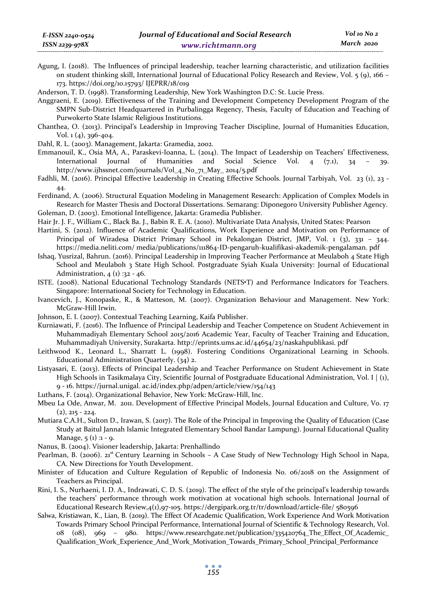Agung, I. (2018). The Influences of principal leadership, teacher learning characteristic, and utilization facilities on student thinking skill, International Journal of Educational Policy Research and Review, Vol. 5 (9), 166 – 173. https://doi.org/10.15793/ IJEPRR/18/019

Anderson, T. D. (1998). Transforming Leadershi*p*, New York Washington D.C: St. Lucie Press.

Anggraeni, E. (2019). Effectiveness of the Training and Development Competency Development Program of the SMPN Sub-District Headquartered in Purbalingga Regency, Thesis, Faculty of Education and Teaching of Purwokerto State Islamic Religious Institutions.

- Chanthea, O. (2013). Principal's Leadership in Improving Teacher Discipline, Journal of Humanities Education, Vol. 1 (4), 396-404.
- Dahl, R. L. (2003). Management, Jakarta: Gramedia, 2002.
- Emmanouil, K., Osia MA, A., Paraskevi-Ioanna, L. (2014). The Impact of Leadership on Teachers' Effectiveness, International Journal of Humanities and Social Science Vol. 4 (7.1), 34 – 39. http://www.ijhssnet.com/journals/Vol\_4\_No\_71\_May\_ 2014/5.pdf
- Fadhli, M. (2016). Principal Effective Leadership in Creating Effective Schools. Journal Tarbiyah, Vol. 23 (1), 23 44.
- Ferdinand, A. (2006). Structural Equation Modeling in Management Research: Application of Complex Models in Research for Master Thesis and Doctoral Dissertations. Semarang: Diponegoro University Publisher Agency. Goleman, D. (2003). Emotional Intelligence, Jakarta: Gramedia Publisher.

- Hair Jr. J. F., William C., Black Ba. J., Babin R. E. A. (2010). Multivariate Data Analysis, United States: Pearson Hartini, S. (2012). Influence of Academic Qualifications, Work Experience and Motivation on Performance of Principal of Wiradesa District Primary School in Pekalongan District, JMP, Vol. 1 (3), 331 – 344. https://media.neliti.com/ media/publications/111864-ID-pengaruh-kualifikasi-akademik-pengalaman. pdf
- Ishaq, Yusrizal, Bahrun. (2016). Principal Leadership in Improving Teacher Performance at Meulaboh 4 State High School and Meulaboh 3 State High School. Postgraduate Syiah Kuala University: Journal of Educational Administration,  $4(1)$ : 32 - 46.
- ISTE. (2008). National Educational Technology Standards (NETS•T) and Performance Indicators for Teachers. Singapore: International Society for Technology in Education.
- Ivancevich, J., Konopaske, R., & Matteson, M. (2007). Organization Behaviour and Management. New York: McGraw-Hill Irwin.
- Johnson, E. I. (2007). Contextual Teaching Learning, Kaifa Publisher.
- Kurniawati, F. (2016). The Influence of Principal Leadership and Teacher Competence on Student Achievement in Muhammadiyah Elementary School 2015/2016 Academic Year, Faculty of Teacher Training and Education, Muhammadiyah University, Surakarta. http://eprints.ums.ac.id/44654/23/naskahpublikasi. pdf
- Leithwood K., Leonard L., Sharratt L. (1998). Fostering Conditions Organizational Learning in Schools. Educational Administration Quarterly. (34) 2.
- Listyasari, E. (2013). Effects of Principal Leadership and Teacher Performance on Student Achievement in State High Schools in Tasikmalaya City, Scientific Journal of Postgraduate Educational Administration, Vol. I | (1), 9 - 16. https://jurnal.unigal. ac.id/index.php/adpen/article/view/154/143
- Luthans, F. (2014). Organizational Behavior, New York: McGraw-Hill, Inc.
- Mbeu La Ode, Anwar, M. 2011. Development of Effective Principal Models, Journal Education and Culture, Vo. 17  $(2), 215 - 224.$
- Mutiara C.A.H., Sulton D., Irawan, S. (2017). The Role of the Principal in Improving the Quality of Education (Case Study at Baitul Jannah Islamic Integrated Elementary School Bandar Lampung). Journal Educational Quality Manage,  $5(1):1 - 9$ .
- Nanus, B. (2004). Visioner leadership, Jakarta: Prenhallindo
- Pearlman, B. (2006).  $21^{st}$  Century Learning in Schools A Case Study of New Technology High School in Napa, CA. New Directions for Youth Development.
- Minister of Education and Culture Regulation of Republic of Indonesia No. 06/2018 on the Assignment of Teachers as Principal.
- Rini, I. S., Nurhaeni, I. D. A., Indrawati, C. D. S. (2019). The effect of the style of the principal's leadership towards the teachers' performance through work motivation at vocational high schools. International Journal of Educational Research Review,4(1),97-105. https://dergipark.org.tr/tr/download/article-file/ 580596
- Salwa, Kristiawan, K., Lian, B. (2019). The Effect Of Academic Qualification, Work Experience And Work Motivation Towards Primary School Principal Performance, International Journal of Scientific & Technology Research, Vol. 08 (08), 969 – 980. https://www.researchgate.net/publication/335420764\_The\_Effect\_Of\_Academic\_ Qualification\_Work\_Experience\_And\_Work\_Motivation\_Towards\_Primary\_School\_Principal\_Performance